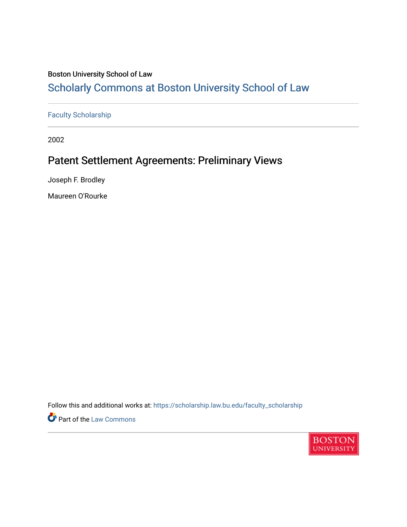### Boston University School of Law

## [Scholarly Commons at Boston University School of Law](https://scholarship.law.bu.edu/)

[Faculty Scholarship](https://scholarship.law.bu.edu/faculty_scholarship)

2002

## Patent Settlement Agreements: Preliminary Views

Joseph F. Brodley

Maureen O'Rourke

Follow this and additional works at: [https://scholarship.law.bu.edu/faculty\\_scholarship](https://scholarship.law.bu.edu/faculty_scholarship?utm_source=scholarship.law.bu.edu%2Ffaculty_scholarship%2F2115&utm_medium=PDF&utm_campaign=PDFCoverPages)

**Part of the [Law Commons](https://network.bepress.com/hgg/discipline/578?utm_source=scholarship.law.bu.edu%2Ffaculty_scholarship%2F2115&utm_medium=PDF&utm_campaign=PDFCoverPages)** 

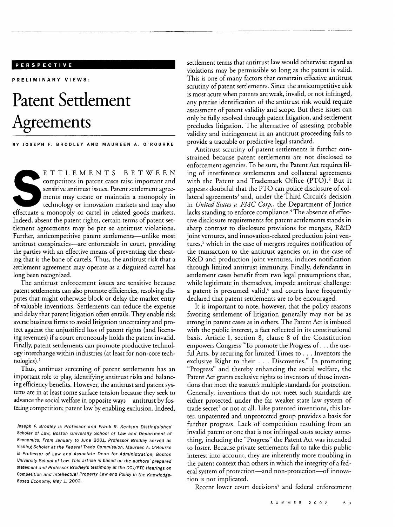#### **PERSPECTIVE**

**PRELIMINARY VIEWS:**

# **Patent Settlement Agreements**

**BY JOSEPH F. BRODLEY AND MAUREEN A. O'ROURKE**

ETTLEMENTS BETWEEN competitors in patent cases raise important and sensitive antitrust issues. Patent settlement agreements may create or maintain a monopoly in technology or innovation markets and may also effectuate a monopoly or cartel in related goods markets. Indeed, absent the patent rights, certain terms of patent settlement agreements may be per se antitrust violations. Further, anticompetitive patent settlements-unlike most antitrust conspiracies-are enforceable in court, providing the parties with an effective means of preventing the cheating that is the bane of cartels. Thus, the antitrust risk that a settlement agreement may operate as a disguised cartel has long been recognized.

The antitrust enforcement issues are sensitive because patent settlements can also promote efficiencies, resolving disputes that might otherwise block or delay the market entry of valuable inventions. Settlements can reduce the expense and delay that patent litigation often entails. They enable risk averse business firms to avoid litigation uncertainty and protect against the unjustified loss of patent rights (and licensing revenues) if a court erroneously holds the patent invalid. Finally, patent settlements can promote productive technology interchange within industries (at least for non-core technologies).'

Thus, antitrust screening of patent settlements has an important role to play, identifying antitrust risks and balancing efficiency benefits. However, the antitrust and patent systems are in at least some surface tension because they seek to advance the social welfare in opposite ways—antitrust by fostering competition; patent law by enabling exclusion. Indeed,

Joseph F. Brodley is Professor and Frank R. Kenison Distinguished Scholar of Law, Boston University School of Law and Department of Economics. From January to June 2001, Professor Brodley served as Visiting Scholar at the Federal Trade Commission. Maureen A. *O'Rourke* is Professor of Law and Associate Dean for Administration, Boston University School of Law. This article is based on the authors' prepared statement and Professor Brodley's testimony at the DOJ/FTC Hearings on Competition and Intellectual Property Law and Policy in the Knowledge-Based Economy, May 1, 2002.

settlement terms that antitrust law would otherwise regard as violations may be permissible so long as the patent is valid. This is one of many factors that constrain effective antitrust scrutiny of patent settlements. Since the anticompetitive risk is most acute when patents are weak, invalid, or not infringed, any precise identification of the antitrust risk would require assessment of patent validity and scope. But these issues can only be fully resolved through patent litigation, and settlement precludes litigation. The alternative of assessing probable validity and infringement in an antitrust proceeding fails to provide a tractable or predictive legal standard.

Antitrust scrutiny of patent settlements is further constrained because patent settlements are not disclosed to enforcement agencies. To be sure, the Patent Act requires **fil**ing of interference settlements and collateral agreements with the Patent and Trademark Office (PTO).<sup>2</sup> But it appears doubtful that the PTO can police disclosure of collateral agreements<sup>3</sup> and, under the Third Circuit's decision in *United States v. FMC Corp.,* the Department of Justice lacks standing to enforce compliance.<sup>4</sup> The absence of effective disclosure requirements for patent settlements stands in sharp contrast to disclosure provisions for mergers, R&D joint ventures, and innovation-related production joint ventures,<sup>5</sup> which in the case of mergers requires notification of the transaction to the antitrust agencies or, in the case of R&D and production joint ventures, induces notification through limited antitrust immunity. Finally, defendants in settlement cases benefit from two legal presumptions that, while legitimate in themselves, impede antitrust challenge: a patent is presumed valid, $6$  and courts have frequently declared that patent settlements are to be encouraged.

It is important to note, however, that the policy reasons favoring settlement of litigation generally may not be as strong in patent cases as in others. The Patent Act is imbued with the public interest, a fact reflected in its constitutional basis. Article **I,** section 8, clause 8 of the Constitution empowers Congress "To promote the Progress of... the useful Arts, by securing for limited Times to ... Inventors the exclusive Right to their . . . Discoveries." In promoting "Progress" and thereby enhancing the social welfare, the Patent Act grants exclusive rights to inventors of those inventions that meet the statute's multiple standards for protection. Generally, inventions that do not meet such standards are either protected under the far weaker state law system of trade secret<sup>7</sup> or not at all. Like patented inventions, this latter, unpatented and unprotected group provides a basis for further progress. Lack of competition resulting from an invalid patent or one that is not infringed costs society something, including the "Progress" the Patent Act was intended to foster. Because private settlements fail to take this public interest into account, they are inherently more troubling in the patent context than others in which the integrity of a federal system of protection—and non-protection—of innovation is not implicated.

Recent lower court decisions<sup>8</sup> and federal enforcement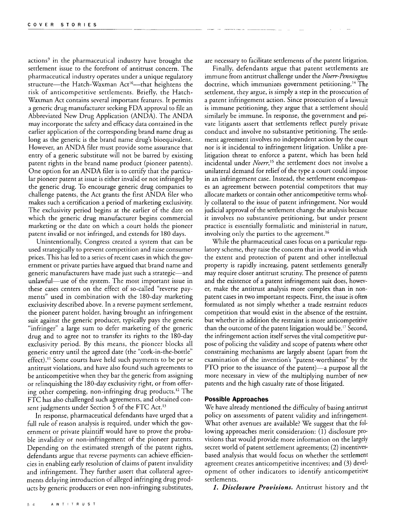actions' in the pharmaceutical industry have brought the settlement issue to the forefront of antitrust concern. The pharmaceutical industry operates under a unique regulatory structure—the Hatch-Waxman Act<sup>10</sup>—that heightens the risk of anticompetitive settlements. Briefly, the Hatch-Waxman Act contains several important features. It permits a generic drug manufacturer seeking FDA approval to file an Abbreviated New Drug Application (ANDA). The ANDA may incorporate the safety and efficacy data contained in the earlier application of the corresponding brand name drug as long as the generic is the brand name drug's bioequivalent. However, an ANDA filer must provide some assurance that entry of a generic substitute will not be barred by existing patent rights in the brand name product (pioneer patents). One option for an ANDA filer is to certify that the particular pioneer patent at issue is either invalid or not infringed by the generic drug. To encourage generic drug companies to challenge patents, the Act grants the first ANDA filer who makes such a certification a period of marketing exclusivity. The exclusivity period begins at the earlier of the date on which the generic drug manufacturer begins commercial marketing or the date on which a court holds the pioneer patent invalid or not infringed, and extends for 180 days.

Unintentionally, Congress created a system that can be used strategically to prevent competition and raise consumer prices. This has led to a series of recent cases in which the government or private parties have argued that brand name and generic manufacturers have made just such a strategic—and unlawful-use of the system. The most important issue in these cases centers on the effect of so-called "reverse payments" used in combination with the 180-day marketing exclusivity described above. In a reverse payment settlement, the pioneer patent holder, having brought an infringement suit against the generic producer, typically pays the generic "infringer" a large sum to defer marketing of the generic drug and to agree not to transfer its rights to the 180-day exclusivity period. By this means, the pioneer blocks all generic entry until the agreed date (the "cork-in-the-bottle" effect)." Some courts have held such payments to be per se antitrust violations, and have also found such agreements to be anticompetitive when they bar the generic from assigning or relinquishing the 180-day exclusivity right, or from offering other competing, non-infringing drug products.<sup>12</sup> The FTC has also challenged such agreements, and obtained consent judgments under Section 5 of the FTC Act.<sup>13</sup>

In response, pharmaceutical defendants have urged that a full rule of reason analysis is required, under which the government or private plaintiff would have to prove the probable invalidity or non-infringement of the pioneer patents. Depending on the estimated strength of the patent rights, defendants argue that reverse payments can achieve efficiencies in enabling early resolution of claims of patent invalidity and infringement. They further assert that collateral agreements delaying introduction of alleged infringing drug products by generic producers or even non-infringing substitutes,

are necessary to facilitate settlements of the patent litigation.

Finally, defendants argue that patent settlements are immune from antitrust challenge under the *Nerr-Pennington* doctrine, which immunizes government petitioning.<sup>14</sup> The settlement, they argue, is simply a step in the prosecution of a patent infringement action. Since prosecution of a lawsuit is immune petitioning, they argue that a settlement should similarly be immune. In response, the government and private litigants assert that settlements reflect purely private conduct and involve no substantive petitioning. The settlement agreement involves no independent action by the court nor is it incidental to infringement litigation. Unlike a prelitigation threat to enforce a patent, which has been held incidental under *Nerr,"5* the settlement does not involve a unilateral demand for relief of the type a court could impose in an infringement case. Instead, the settlement encompasses an agreement between potential competitors that may allocate markets or contain other anticompetitive terms wholly collateral to the issue of patent infringement. Nor would judicial approval of the settlement change the analysis because it involves no substantive petitioning, but under present practice is essentially formalistic and ministerial in nature, involving only the parties to the agreement. **<sup>16</sup>**

While the pharmaceutical cases focus on a particular regulatory scheme, they raise the concern that in a world in which the extent and protection of patent and other intellectual property is rapidly increasing, patent settlements generally may require closer antitrust scrutiny. The presence of patents and the existence of a patent infringement suit does, however, make the antitrust analysis more complex than in nonpatent cases in two important respects. First, the issue is often formulated as not simply whether a trade restraint reduces competition that would exist in the absence of the restraint, but whether in addition the restraint is more anticompetitive than the outcome of the patent litigation would be.17 Second, the infringement action itself serves the vital competitive purpose of policing the validity and scope of patents where other constraining mechanisms are largely absent (apart from the examination of the invention's "patent-worthiness" by the PTO prior to the issuance of the patent)—a purpose all the more necessary in view of the multiplying number of new patents and the high casualty rate of those litigated.

#### **Possible Approaches**

We have already mentioned the difficulty of basing antitrust policy on assessments of patent validity and infringement. What other avenues are available? We suggest that the following approaches merit consideration: (1) disclosure provisions that would provide more information on the largely secret world of patent settlement agreements; (2) incentivesbased analysis that would focus on whether the settlement agreement creates anticompetitive incentives; and (3) development of other indicators to identify anticompetitive settlements.

*1. Disclosure Provisions.* Antitrust history and the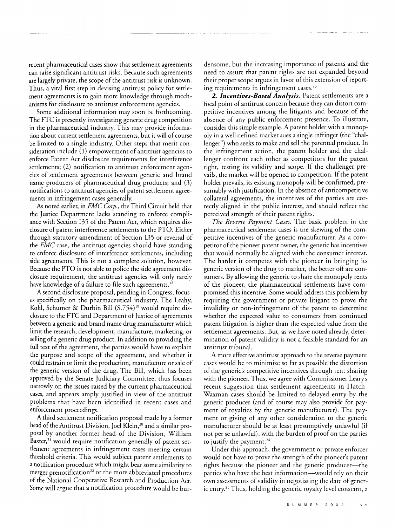recent pharmaceutical cases show that settlement agreements can raise significant antitrust risks. Because such agreements are largely private, the scope of the antitrust risk is unknown. Thus, a vital first step in devising antitrust policy for settlement agreements is to gain more knowledge through mechanisms for disclosure to antitrust enforcement agencies.

Some additional information may soon **be** forthcoming. The FTC is presently investigating generic drug competition in the pharmaceutical industry. This may provide information about current settlement agreements, but it will of course be limited to a single industry. Other steps that merit consideration include (1) empowerment of antitrust agencies to enforce Patent Act disclosure requirements for interference settlements; (2) notification to antitrust enforcement agencies of settlement agreements between generic and brand name producers of pharmaceutical drug products; and (3) notifications to antitrust agencies of patent settlement agreements in infringement cases generally.

As noted earlier, in *FMC Corp.,* the Third Circuit held that the Justice Department lacks standing to enforce compliance with Section 135 of the Patent Act, which requires disclosure of patent interference settlements to the PTO. Either through statutory amendment of Section 135 or reversal of the *FMC* case, the antitrust agencies should have standing to enforce disclosure of interference settlements, including side agreements. This is not a complete solution, however. Because the PTO is not able to police the side agreement disclosure requirement, the antitrust agencies will only rarely have knowledge of a failure to file such agreements.<sup>18</sup>

A second disclosure proposal, pending in Congress, focuses specifically on the pharmaceutical industry. The Leahy, Kohl, Schumer & Durbin Bill (S.754)<sup>19</sup> would require disclosure to the FTC and Department of Justice of agreements between a generic and brand name drug manufacturer which limit the research, development, manufacture, marketing, or selling of a generic drug product. In addition to providing the full text of the agreement, the parties would have to explain the purpose and scope of the agreement, and whether it could restrain or limit the production, manufacture or sale of the generic version of the drug. The Bill, which has been approved by the Senate Judiciary Committee, thus focuses narrowly on the issues raised by the current pharmaceutical cases, and appears amply justified in view of the antitrust problems that have been identified in recent cases and enforcement proceedings.

A third settlement notification proposal made by a former head of the Antitrust Division. Joel Klein.<sup>20</sup> and a similar proposal by another former head of the Division, William Baxter,<sup>21</sup> would require notification generally of patent settlement agreements in infringement cases meeting certain threshold criteria. This would subject patent settlements to a notification procedure which might bear some similarity to merger prenotification<sup>22</sup> or the more abbreviated procedures of the National Cooperative Research and Production Act. Some will argue that a notification procedure would be burdensome, but the increasing importance of patents and the need to assure that patent rights are not expanded beyond their proper scope argues in favor of this extension of reporting requirements in infringement cases.<sup>23</sup>

*2. Incentives-Based Analysis.* Patent settlements are a focal point of antitrust concern because they can distort competitive incentives among the litigants and because of the absence of any public enforcement presence. To illustrate, consider this simple example. A patent holder with a monopoly in a well defined market sues a single infringer (the "challenger") who seeks to make and sell the patented product. In the infringement action, the patent holder and the challenger confront each other as competitors for the patent right, testing its validity and scope. If the challenger prevails, the market will be opened to competition. If the patent holder prevails, its existing monopoly will be confirmed, presumably with justification. In the absence of anticompetitive collateral agreements, the incentives of the parties are correctly aligned in the public interest, and should reflect the perceived strength of their patent rights.

*The Reverse Payment Cases.* The basic problem in the pharmaceutical settlement cases is the skewing of the competitive incentives of the generic manufacturer. As a competitor of the pioneer patent owner, the generic has incentives that would normally be aligned with the consumer interest. The harder it competes with the pioneer in bringing its generic version of the drug to market, the better off are consumers. By allowing the generic to share the monopoly rents of the pioneer, the pharmaceutical settlements have compromised this incentive. Some would address this problem by requiring the government or private litigant to prove the invalidity or non-infringement of the patent to determine whether the expected value to consumers from continued patent litigation is higher than the expected value from the settlement agreements. But, as we have noted already, determination of patent validity is not a feasible standard for an antitrust tribunal.

A more effective antitrust approach to the reverse payment cases would be to minimize so far as possible the distortion of the generic's competitive incentives through rent sharing with the pioneer. Thus, we agree with Commissioner Leary's recent suggestion that settlement agreements in Hatch-Waxman cases should be limited to delayed entry by the generic producer (and of course may also provide for payment of royalties by the generic manufacturer). The payment or giving of any other consideration to the generic manufacturer should be at least presumptively unlawful (if not per se unlawful), with the burden of proof on the parties to justify the payment. $24$ 

Under this approach, the government or private enforcer would not have to prove the strength of the pioneer's patent rights because the pioneer and the generic producer—the parties who have the best information—would rely on their own assessments of validity in negotiating the date of generic entry.25 Thus, holding the generic royalty level constant, a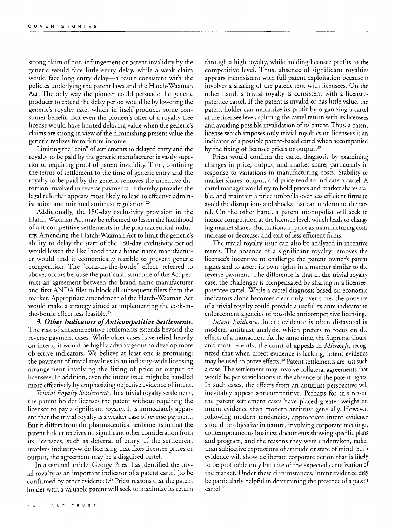strong claim of non-infringement or patent invalidity by the generic would face little entry delay, while a weak claim would face long entry delay—a result consistent with the policies underlying the patent laws and the Hatch-Waxman Act. The only way the pioneer could persuade the generic producer to extend the delay period would be by lowering the generic's royalty rate, which in itself produces some consumer benefit. But even the pioneer's offer of a royalty-free license would have limited delaying value when the generic's claims are strong in view of the diminishing present value the generic realizes from future income.

Limiting the "coin" of settlements to delayed entry and the royalty to be paid by the generic manufacturer is vastly superior to requiring proof of patent invalidity. Thus, confining the terms of settlement to the time of generic entry and the royalty to be paid by the generic removes the incentive distortion involved in reverse payments. It thereby provides the legal rule that appears most likely to lead to effective administration and minimal antitrust regulation.<sup>26</sup>

Additionally, the 180-day exclusivity provision in the Hatch-Waxman Act may be reformed to lessen the likelihood of anticompetitive settlements in the pharmaceutical industry. Amending the Hatch-Waxman Act to limit the generic's ability to delay the start of the 180-day exclusivity period would lessen the likelihood that a brand name manufacturer would find it economically feasible to prevent generic competition. The "cork-in-the-bottle" effect, referred to above, occurs because the particular structure of the Act permits an agreement between the brand name manufacturer and first ANDA filer to block all subsequent filers from the market. Appropriate amendment of the Hatch-Waxman Act would make a strategy aimed at implementing the cork-inthe-bottle effect less feasible.27

*3. Other Indicators ofAnticompetitive Settlements.* The risk of anticompetitive settlements extends beyond the reverse payment cases. While older cases have relied heavily on intent, it would be highly advantageous to develop more objective indicators. We believe at least one is promising: the payment of trivial royalties in an industry-wide licensing arrangement involving the fixing of price or output of licensees. In addition, even the intent issue might be handled more effectively by emphasizing objective evidence of intent.

*Trivial Royalty Settlements.* In a trivial royalty settlement, the patent holder licenses the patent without requiring the licensee to pay a significant royalty. It is immediately apparent that the trivial royalty is a weaker case of reverse payment. But it differs from the pharmaceutical settlements in that the patent holder receives no significant other consideration from its licensees, such as deferral of entry. If the settlement involves industry-wide licensing that fixes licensee prices or output, the agreement may be a disguised cartel.

In a seminal article, George Priest has identified the trivial royalty as an important indicator of a patent cartel (to be confirmed by other evidence).28 Priest reasons that the patent holder with a valuable patent will seek to maximize its return through a high royalty, while holding licensee profits to the competitive level. Thus, absence of significant royalties appears inconsistent with full patent exploitation because it involves a sharing of the patent rent with licensees. On the other hand, a trivial royalty is consistent with a licenseepatentee cartel. If the patent is invalid or has little value, the patent holder can maximize its profit by organizing a cartel at the licensee level, splitting the cartel return with its licensees and avoiding possible invalidation of its patent. Thus, a patent license which imposes only trivial royalties on licensees is an indicator of a possible patent-based cartel when accompanied by the fixing of licensee prices or output.<sup>29</sup>

Priest would confirm the cartel diagnosis by examining changes in price, output, and market share, particularly in response to variations in manufacturing costs. Stability of market shares, output, and price tend to indicate a cartel. A cartel manager would try to hold prices and market shares stable, and maintain a price umbrella over less efficient firms to avoid the disruptions and shocks that can undermine the cartel. On the other hand, a patent monopolist will seek to induce competition at the licensee level, which leads to changing market shares, fluctuations in price as manufacturing costs increase or decrease, and exit of less efficient firms.

The trivial royalty issue can also be analyzed in incentive terms. The absence of a significant royalty removes the licensee's incentive to challenge the patent owner's patent rights and to assert its own rights in a manner similar to the reverse payment. The difference is that in the trivial royalty case, the challenger is compensated by sharing in a licenseepatentee cartel. While a cartel diagnosis based on economic indicators alone becomes clear only over time, the presence of a trivial royalty could provide a useful ex ante indicator to enforcement agencies of possible anticompetitive licensing.

*Intent Evidence.* Intent evidence is often disfavored in modern antitrust analysis, which prefers to focus on the effects of a transaction. At the same time, the Supreme Court, and most recently, the court of appeals in *Microsoft,* recognized that when direct evidence is lacking, intent evidence may be used to prove effects.<sup>30</sup> Patent settlements are just such a case. The settlement may involve collateral agreements that would be per se violations in the absence of the patent rights. In such cases, the effects from an antitrust perspective will inevitably appear anticompetitive. Perhaps for this reason the patent settlement cases have placed greater weight on intent evidence than modern antitrust generally. However, following modern tendencies, appropriate intent evidence should be objective in nature, involving corporate meetings, contemporaneous business documents showing specific plans and program, and the reasons they were undertaken, rather than subjective expressions of attitude or state of mind. Such evidence will show deliberate corporate action that is likely to be profitable only because of the expected cartelization of the market. Under these circumstances, intent evidence may be particularly helpful in determining the presence of a patent  $\ar{tel.}^3$